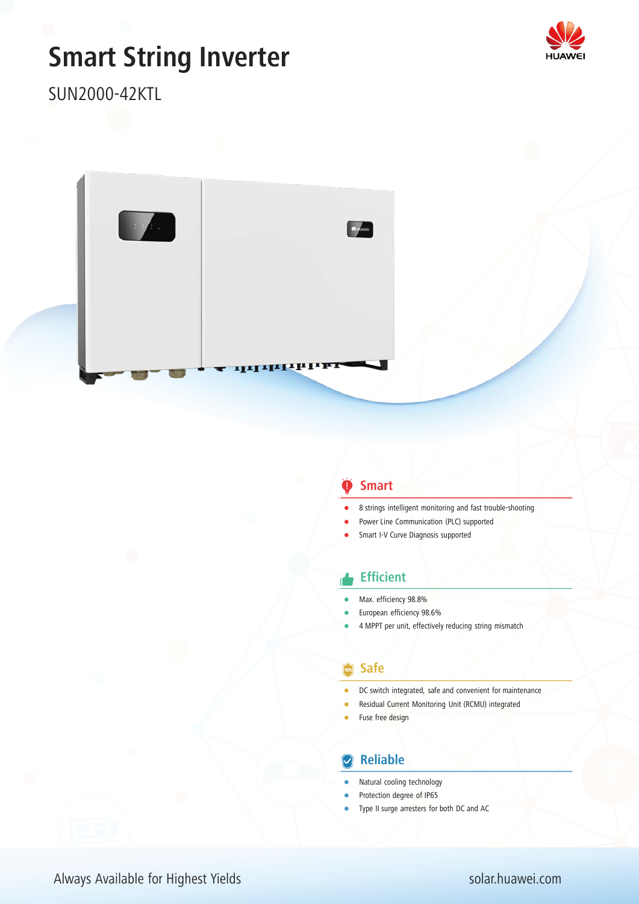# **Smart String Inverter**



SUN2000-42KTL



#### **Smart**

- 8 strings intelligent monitoring and fast trouble-shooting
- Power Line Communication (PLC) supported
- Smart I-V Curve Diagnosis supported

#### **Efficient**

- Max. efficiency 98.8%
- European efficiency 98.6%
- 4 MPPT per unit, effectively reducing string mismatch

#### **Safe**

- DC switch integrated, safe and convenient for maintenance
- Residual Current Monitoring Unit (RCMU) integrated
- Fuse free design

### **Z** Reliable

- Natural cooling technology
- Protection degree of IP65
- Type II surge arresters for both DC and AC